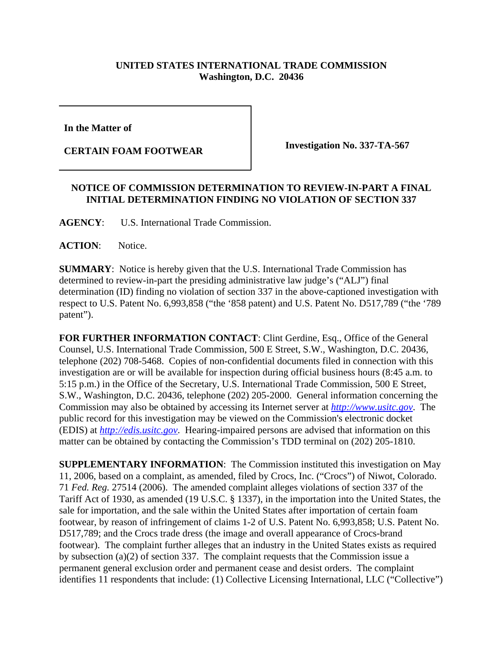## **UNITED STATES INTERNATIONAL TRADE COMMISSION Washington, D.C. 20436**

**In the Matter of** 

**CERTAIN FOAM FOOTWEAR Investigation No. 337-TA-567**

## **NOTICE OF COMMISSION DETERMINATION TO REVIEW-IN-PART A FINAL INITIAL DETERMINATION FINDING NO VIOLATION OF SECTION 337**

**AGENCY**: U.S. International Trade Commission.

**ACTION**: Notice.

**SUMMARY**: Notice is hereby given that the U.S. International Trade Commission has determined to review-in-part the presiding administrative law judge's ("ALJ") final determination (ID) finding no violation of section 337 in the above-captioned investigation with respect to U.S. Patent No. 6,993,858 ("the '858 patent) and U.S. Patent No. D517,789 ("the '789 patent").

**FOR FURTHER INFORMATION CONTACT**: Clint Gerdine, Esq., Office of the General Counsel, U.S. International Trade Commission, 500 E Street, S.W., Washington, D.C. 20436, telephone (202) 708-5468. Copies of non-confidential documents filed in connection with this investigation are or will be available for inspection during official business hours (8:45 a.m. to 5:15 p.m.) in the Office of the Secretary, U.S. International Trade Commission, 500 E Street, S.W., Washington, D.C. 20436, telephone (202) 205-2000. General information concerning the Commission may also be obtained by accessing its Internet server at *http://www.usitc.gov*. The public record for this investigation may be viewed on the Commission's electronic docket (EDIS) at *http://edis.usitc.gov*. Hearing-impaired persons are advised that information on this matter can be obtained by contacting the Commission's TDD terminal on (202) 205-1810.

**SUPPLEMENTARY INFORMATION**: The Commission instituted this investigation on May 11, 2006, based on a complaint, as amended, filed by Crocs, Inc. ("Crocs") of Niwot, Colorado. 71 *Fed. Reg.* 27514 (2006). The amended complaint alleges violations of section 337 of the Tariff Act of 1930, as amended (19 U.S.C. § 1337), in the importation into the United States, the sale for importation, and the sale within the United States after importation of certain foam footwear, by reason of infringement of claims 1-2 of U.S. Patent No. 6,993,858; U.S. Patent No. D517,789; and the Crocs trade dress (the image and overall appearance of Crocs-brand footwear). The complaint further alleges that an industry in the United States exists as required by subsection (a)(2) of section 337. The complaint requests that the Commission issue a permanent general exclusion order and permanent cease and desist orders. The complaint identifies 11 respondents that include: (1) Collective Licensing International, LLC ("Collective")